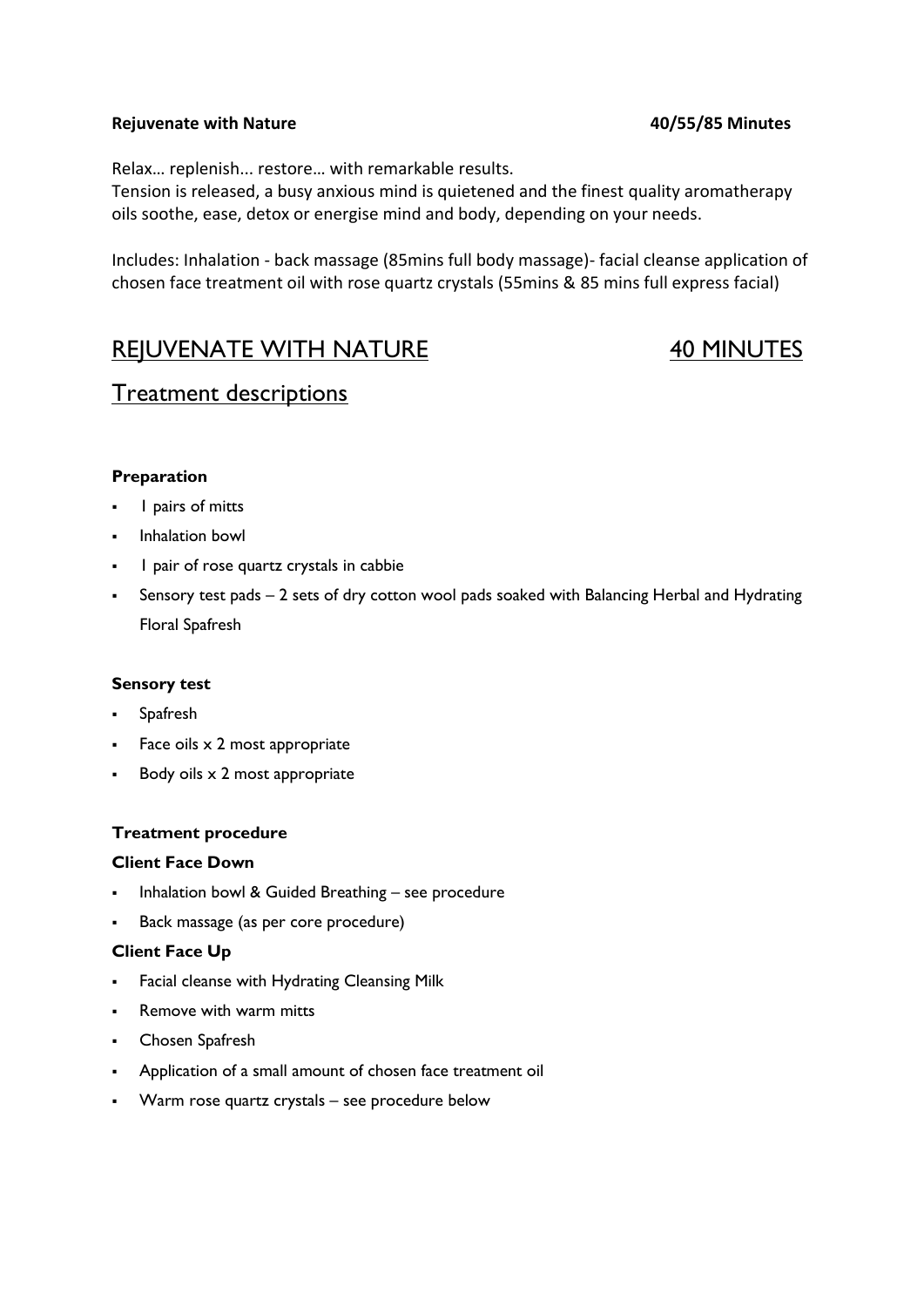### Rejuvenate with Nature **Accord 2018 Research 2018 40/55/85 Minutes**

Relax… replenish... restore… with remarkable results.

Tension is released, a busy anxious mind is quietened and the finest quality aromatherapy oils soothe, ease, detox or energise mind and body, depending on your needs.

Includes: Inhalation - back massage (85mins full body massage)- facial cleanse application of chosen face treatment oil with rose quartz crystals (55mins & 85 mins full express facial)

# REJUVENATE WITH NATURE **AND MINUTES**

## Treatment descriptions

### **Preparation**

- 1 pairs of mitts
- Inhalation bowl
- 1 pair of rose quartz crystals in cabbie
- Sensory test pads 2 sets of dry cotton wool pads soaked with Balancing Herbal and Hydrating Floral Spafresh

#### **Sensory test**

- Spafresh
- $\blacksquare$  Face oils  $\times$  2 most appropriate
- $-$  Body oils  $\times$  2 most appropriate

#### **Treatment procedure**

#### **Client Face Down**

- . Inhalation bowl & Guided Breathing see procedure
- **Back massage (as per core procedure)**

#### **Client Face Up**

- **Facial cleanse with Hydrating Cleansing Milk**
- Remove with warm mitts
- Chosen Spafresh
- Application of a small amount of chosen face treatment oil
- Warm rose quartz crystals see procedure below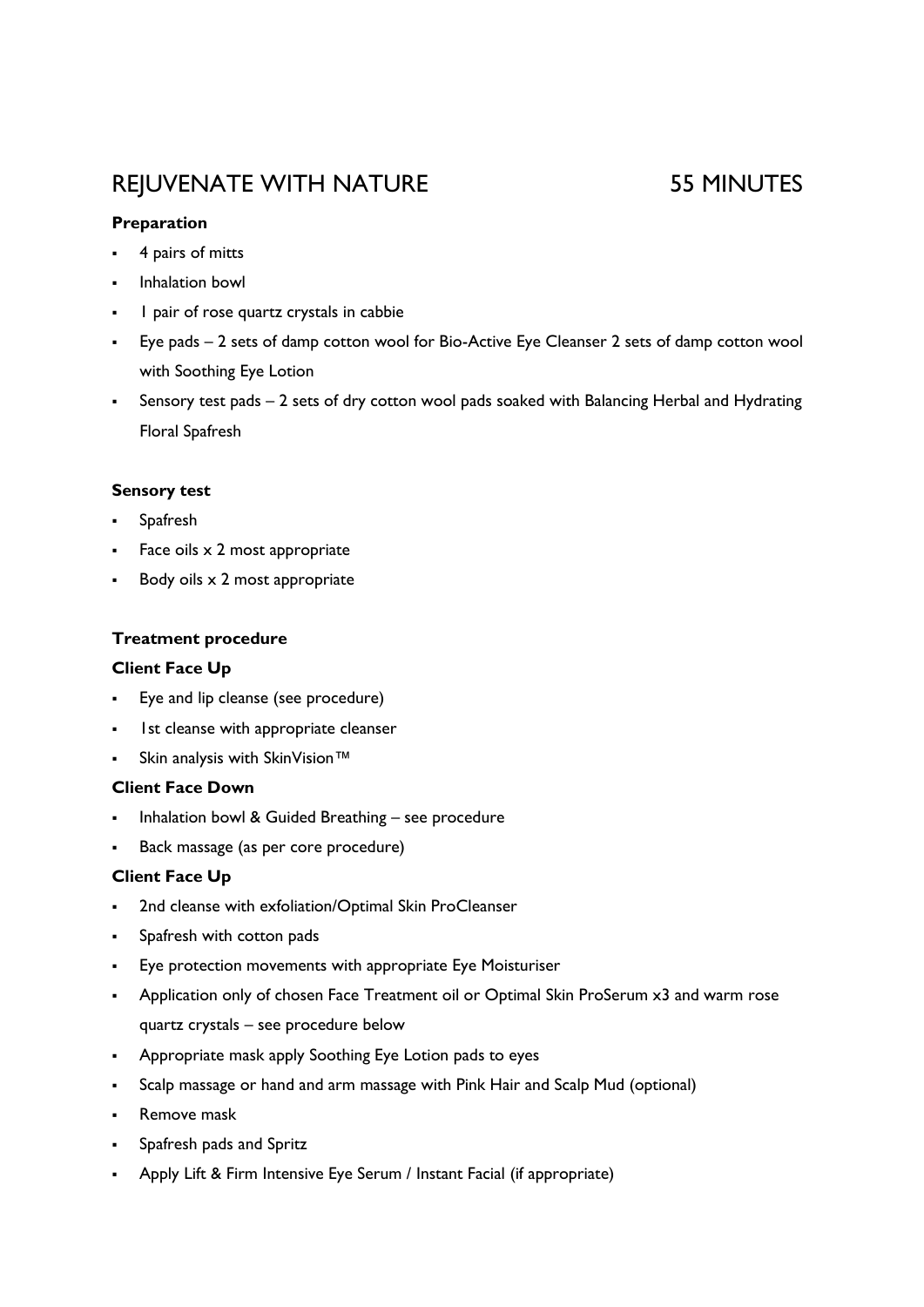# REJUVENATE WITH NATURE **1998 120 SET AN INSTALL SET AREA**

### **Preparation**

- 4 pairs of mitts
- Inhalation bowl
- 1 pair of rose quartz crystals in cabbie
- Eye pads 2 sets of damp cotton wool for Bio-Active Eye Cleanser 2 sets of damp cotton wool with Soothing Eye Lotion
- Sensory test pads 2 sets of dry cotton wool pads soaked with Balancing Herbal and Hydrating Floral Spafresh

#### **Sensory test**

- Spafresh
- **Face oils**  $\times$  **2 most appropriate**
- Body oils x 2 most appropriate

#### **Treatment procedure**

#### **Client Face Up**

- Eye and lip cleanse (see procedure)
- <sup>1</sup> Ist cleanse with appropriate cleanser
- Skin analysis with SkinVision<sup>™</sup>

#### **Client Face Down**

- Inhalation bowl & Guided Breathing see procedure
- Back massage (as per core procedure)

#### **Client Face Up**

- 2nd cleanse with exfoliation/Optimal Skin ProCleanser
- Spafresh with cotton pads
- Eye protection movements with appropriate Eye Moisturiser
- Application only of chosen Face Treatment oil or Optimal Skin ProSerum x3 and warm rose quartz crystals – see procedure below
- Appropriate mask apply Soothing Eye Lotion pads to eyes
- Scalp massage or hand and arm massage with Pink Hair and Scalp Mud (optional)
- **Remove mask**
- Spafresh pads and Spritz
- Apply Lift & Firm Intensive Eye Serum / Instant Facial (if appropriate)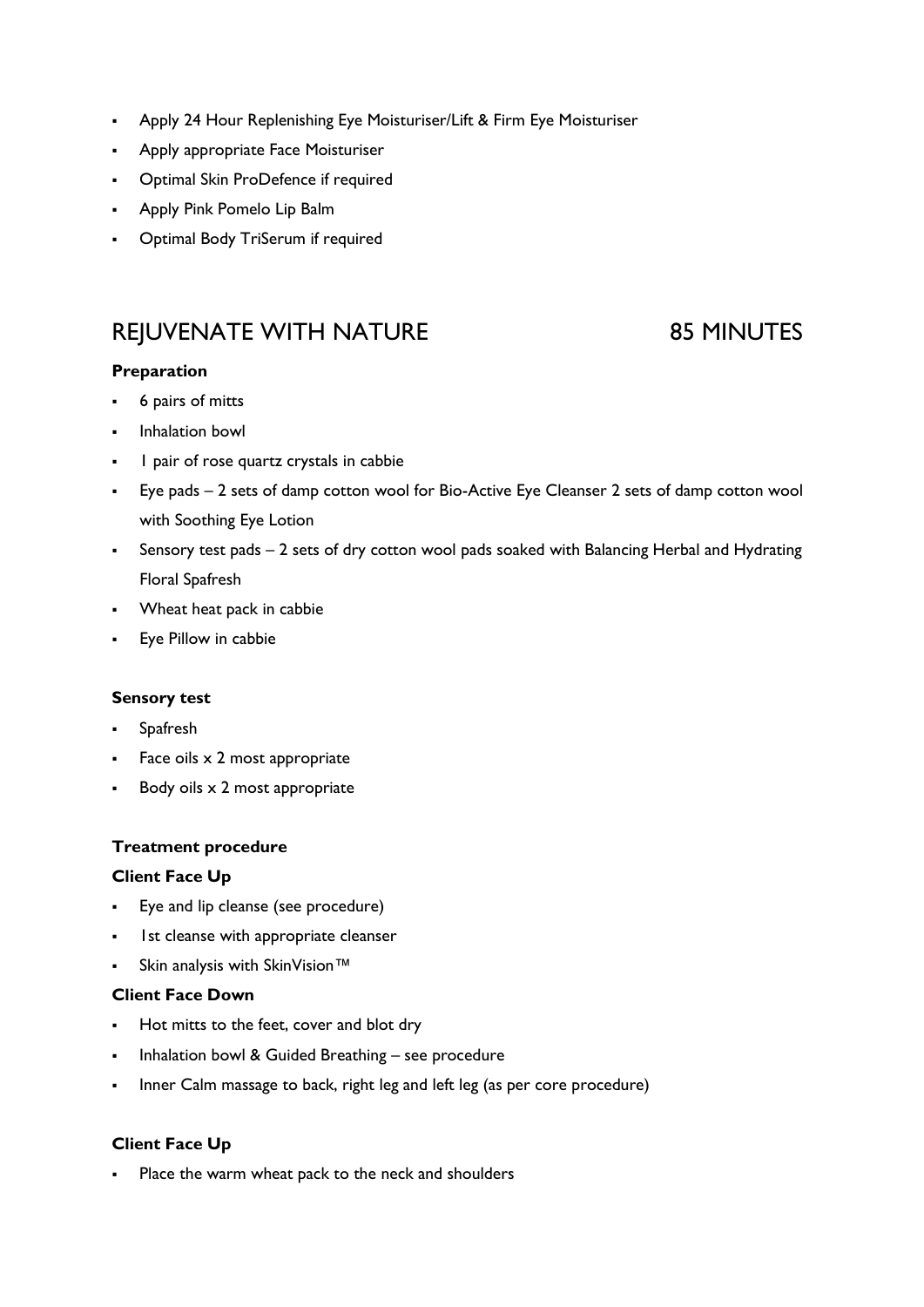- Apply 24 Hour Replenishing Eye Moisturiser/Lift & Firm Eye Moisturiser
- Apply appropriate Face Moisturiser
- Optimal Skin ProDefence if required
- Apply Pink Pomelo Lip Balm
- Optimal Body TriSerum if required

# REIUVENATE WITH NATURE 85 MINUTES

### **Preparation**

- 6 pairs of mitts
- Inhalation bowl
- 1 pair of rose quartz crystals in cabbie
- Eye pads 2 sets of damp cotton wool for Bio-Active Eye Cleanser 2 sets of damp cotton wool with Soothing Eye Lotion
- Sensory test pads 2 sets of dry cotton wool pads soaked with Balancing Herbal and Hydrating Floral Spafresh
- Wheat heat pack in cabbie
- Eye Pillow in cabbie

#### **Sensory test**

- Spafresh
- Face oils x 2 most appropriate
- Body oils x 2 most appropriate

#### **Treatment procedure**

#### **Client Face Up**

- Eye and lip cleanse (see procedure)
- 1st cleanse with appropriate cleanser
- Skin analysis with SkinVision<sup>™</sup>

#### **Client Face Down**

- Hot mitts to the feet, cover and blot dry
- . Inhalation bowl & Guided Breathing see procedure
- Inner Calm massage to back, right leg and left leg (as per core procedure)

#### **Client Face Up**

Place the warm wheat pack to the neck and shoulders